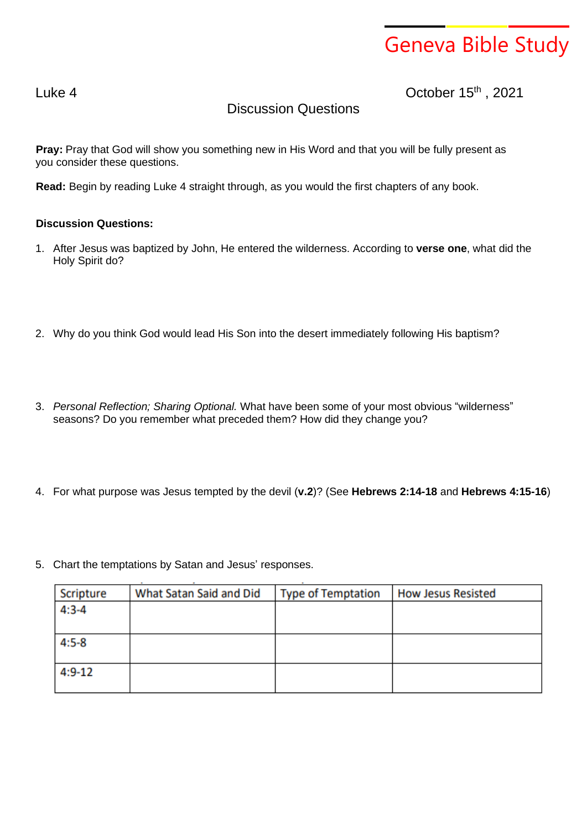## Geneva Bible Study

Luke 4 Contract Contract Contract Contract Contract Contract Contract Contract Contract Contract Contract Contract Contract Contract Contract Contract Contract Contract Contract Contract Contract Contract Contract Contract

## Discussion Questions

**Pray:** Pray that God will show you something new in His Word and that you will be fully present as you consider these questions.

**Read:** Begin by reading Luke 4 straight through, as you would the first chapters of any book.

## **Discussion Questions:**

- 1. After Jesus was baptized by John, He entered the wilderness. According to **verse one**, what did the Holy Spirit do?
- 2. Why do you think God would lead His Son into the desert immediately following His baptism?
- 3. *Personal Reflection; Sharing Optional.* What have been some of your most obvious "wilderness" seasons? Do you remember what preceded them? How did they change you?
- 4. For what purpose was Jesus tempted by the devil (**v.2**)? (See **Hebrews 2:14-18** and **Hebrews 4:15-16**)
- 5. Chart the temptations by Satan and Jesus' responses.

| Scripture | What Satan Said and Did | <b>Type of Temptation</b> | <b>How Jesus Resisted</b> |
|-----------|-------------------------|---------------------------|---------------------------|
| $4:3 - 4$ |                         |                           |                           |
|           |                         |                           |                           |
| $4:5 - 8$ |                         |                           |                           |
|           |                         |                           |                           |
| $4:9-12$  |                         |                           |                           |
|           |                         |                           |                           |